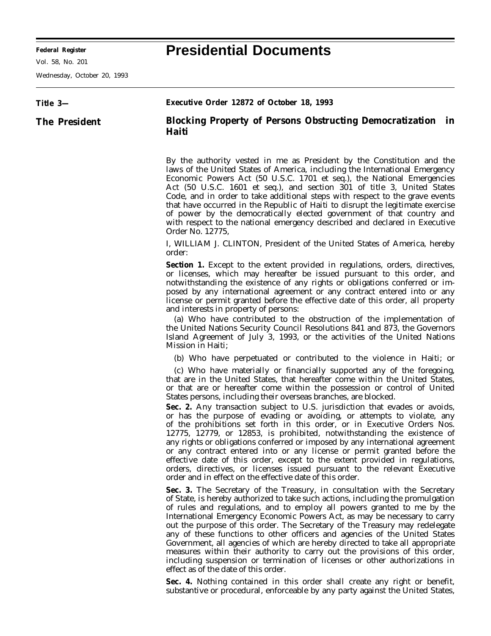## **Federal Register Presidential Documents**

Wednesday, October 20, 1993

| Title 3-             | Executive Order 12872 of October 18, 1993                                                                                                                                                                                                                                                                                                                                                                                                                                                                                                                                                                                                                                                                                                                                                                                                                                                                                                                                                                  |
|----------------------|------------------------------------------------------------------------------------------------------------------------------------------------------------------------------------------------------------------------------------------------------------------------------------------------------------------------------------------------------------------------------------------------------------------------------------------------------------------------------------------------------------------------------------------------------------------------------------------------------------------------------------------------------------------------------------------------------------------------------------------------------------------------------------------------------------------------------------------------------------------------------------------------------------------------------------------------------------------------------------------------------------|
| <b>The President</b> | <b>Blocking Property of Persons Obstructing Democratization in</b><br>Haiti                                                                                                                                                                                                                                                                                                                                                                                                                                                                                                                                                                                                                                                                                                                                                                                                                                                                                                                                |
|                      | By the authority vested in me as President by the Constitution and the<br>laws of the United States of America, including the International Emergency<br>Economic Powers Act (50 U.S.C. 1701 et seq.), the National Emergencies<br>Act (50 U.S.C. 1601 et seq.), and section 301 of title 3, United States<br>Code, and in order to take additional steps with respect to the grave events<br>that have occurred in the Republic of Haiti to disrupt the legitimate exercise<br>of power by the democratically elected government of that country and<br>with respect to the national emergency described and declared in Executive<br>Order No. 12775,                                                                                                                                                                                                                                                                                                                                                    |
|                      | I, WILLIAM J. CLINTON, President of the United States of America, hereby<br>order:                                                                                                                                                                                                                                                                                                                                                                                                                                                                                                                                                                                                                                                                                                                                                                                                                                                                                                                         |
|                      | <b>Section 1.</b> Except to the extent provided in regulations, orders, directives,<br>or licenses, which may hereafter be issued pursuant to this order, and<br>notwithstanding the existence of any rights or obligations conferred or im-<br>posed by any international agreement or any contract entered into or any<br>license or permit granted before the effective date of this order, all property<br>and interests in property of persons:<br>(a) Who have contributed to the obstruction of the implementation of<br>the United Nations Security Council Resolutions 841 and 873, the Governors<br>Island Agreement of July 3, 1993, or the activities of the United Nations<br>Mission in Haiti;                                                                                                                                                                                                                                                                                               |
|                      | (b) Who have perpetuated or contributed to the violence in Haiti; or                                                                                                                                                                                                                                                                                                                                                                                                                                                                                                                                                                                                                                                                                                                                                                                                                                                                                                                                       |
|                      | (c) Who have materially or financially supported any of the foregoing,<br>that are in the United States, that hereafter come within the United States,<br>or that are or hereafter come within the possession or control of United<br>States persons, including their overseas branches, are blocked.<br>Sec. 2. Any transaction subject to U.S. jurisdiction that evades or avoids,<br>or has the purpose of evading or avoiding, or attempts to violate, any<br>of the prohibitions set forth in this order, or in Executive Orders Nos.<br>12775, 12779, or 12853, is prohibited, notwithstanding the existence of<br>any rights or obligations conferred or imposed by any international agreement<br>or any contract entered into or any license or permit granted before the<br>effective date of this order, except to the extent provided in regulations,<br>orders, directives, or licenses issued pursuant to the relevant Executive<br>order and in effect on the effective date of this order. |
|                      | Sec. 3. The Secretary of the Treasury, in consultation with the Secretary<br>of State, is hereby authorized to take such actions, including the promulgation<br>of rules and regulations, and to employ all powers granted to me by the<br>International Emergency Economic Powers Act, as may be necessary to carry<br>out the purpose of this order. The Secretary of the Treasury may redelegate<br>any of these functions to other officers and agencies of the United States<br>Government, all agencies of which are hereby directed to take all appropriate<br>measures within their authority to carry out the provisions of this order,<br>including suspension or termination of licenses or other authorizations in<br>effect as of the date of this order.                                                                                                                                                                                                                                     |
|                      | Sec. 4. Nothing contained in this order shall create any right or benefit,<br>substantive or procedural, enforceable by any party against the United States,                                                                                                                                                                                                                                                                                                                                                                                                                                                                                                                                                                                                                                                                                                                                                                                                                                               |
|                      |                                                                                                                                                                                                                                                                                                                                                                                                                                                                                                                                                                                                                                                                                                                                                                                                                                                                                                                                                                                                            |